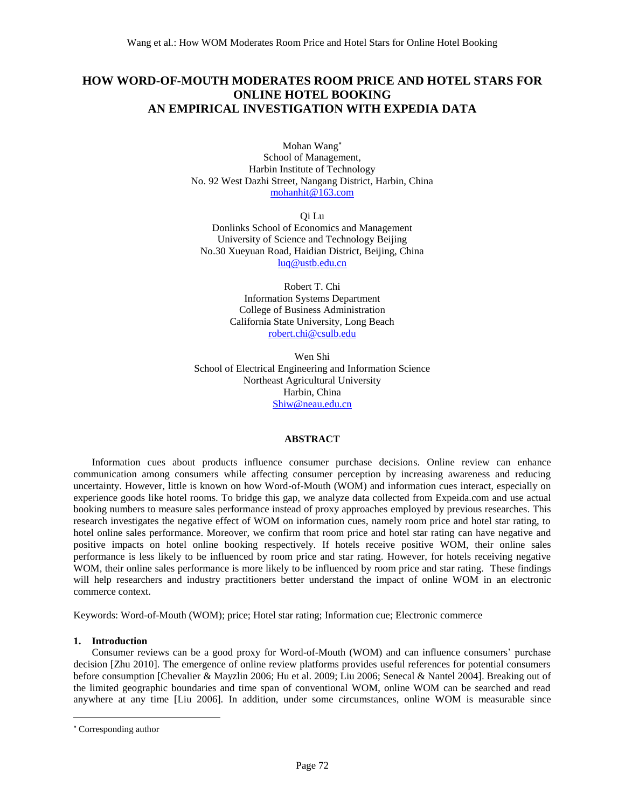# **HOW WORD-OF-MOUTH MODERATES ROOM PRICE AND HOTEL STARS FOR ONLINE HOTEL BOOKING AN EMPIRICAL INVESTIGATION WITH EXPEDIA DATA**

Mohan Wang School of Management, Harbin Institute of Technology No. 92 West Dazhi Street, Nangang District, Harbin, China [mohanhit@163.com](mailto:mohanhit@163.com)

Qi Lu Donlinks School of Economics and Management University of Science and Technology Beijing No.30 Xueyuan Road, Haidian District, Beijing, China [luq@ustb.edu.cn](mailto:luq@ustb.edu.cn)

> Robert T. Chi Information Systems Department College of Business Administration California State University, Long Beach [robert.chi@csulb.edu](mailto:robert.chi@csulb.edu)

Wen Shi School of Electrical Engineering and Information Science Northeast Agricultural University Harbin, China [Shiw@neau.edu.cn](mailto:Shiw@neau.edu.cn)

# **ABSTRACT**

Information cues about products influence consumer purchase decisions. Online review can enhance communication among consumers while affecting consumer perception by increasing awareness and reducing uncertainty. However, little is known on how Word-of-Mouth (WOM) and information cues interact, especially on experience goods like hotel rooms. To bridge this gap, we analyze data collected from Expeida.com and use actual booking numbers to measure sales performance instead of proxy approaches employed by previous researches. This research investigates the negative effect of WOM on information cues, namely room price and hotel star rating, to hotel online sales performance. Moreover, we confirm that room price and hotel star rating can have negative and positive impacts on hotel online booking respectively. If hotels receive positive WOM, their online sales performance is less likely to be influenced by room price and star rating. However, for hotels receiving negative WOM, their online sales performance is more likely to be influenced by room price and star rating. These findings will help researchers and industry practitioners better understand the impact of online WOM in an electronic commerce context.

Keywords: Word-of-Mouth (WOM); price; Hotel star rating; Information cue; Electronic commerce

# **1. Introduction**

Consumer reviews can be a good proxy for Word-of-Mouth (WOM) and can influence consumers' purchase decision [Zhu 2010]. The emergence of online review platforms provides useful references for potential consumers before consumption [Chevalier & Mayzlin 2006; Hu et al. 2009; Liu 2006; Senecal & Nantel 2004]. Breaking out of the limited geographic boundaries and time span of conventional WOM, online WOM can be searched and read anywhere at any time [Liu 2006]. In addition, under some circumstances, online WOM is measurable since

 $\overline{a}$ 

Corresponding author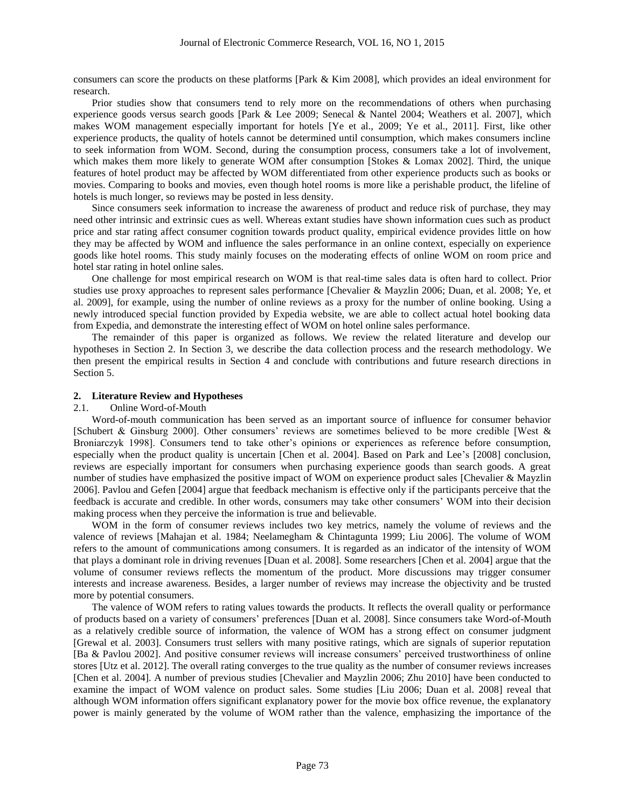consumers can score the products on these platforms [Park & Kim 2008], which provides an ideal environment for research.

Prior studies show that consumers tend to rely more on the recommendations of others when purchasing experience goods versus search goods [Park & Lee 2009; Senecal & Nantel 2004; Weathers et al. 2007], which makes WOM management especially important for hotels [Ye et al., 2009; Ye et al., 2011]. First, like other experience products, the quality of hotels cannot be determined until consumption, which makes consumers incline to seek information from WOM. Second, during the consumption process, consumers take a lot of involvement, which makes them more likely to generate WOM after consumption [Stokes & Lomax 2002]. Third, the unique features of hotel product may be affected by WOM differentiated from other experience products such as books or movies. Comparing to books and movies, even though hotel rooms is more like a perishable product, the lifeline of hotels is much longer, so reviews may be posted in less density.

Since consumers seek information to increase the awareness of product and reduce risk of purchase, they may need other intrinsic and extrinsic cues as well. Whereas extant studies have shown information cues such as product price and star rating affect consumer cognition towards product quality, empirical evidence provides little on how they may be affected by WOM and influence the sales performance in an online context, especially on experience goods like hotel rooms. This study mainly focuses on the moderating effects of online WOM on room price and hotel star rating in hotel online sales.

One challenge for most empirical research on WOM is that real-time sales data is often hard to collect. Prior studies use proxy approaches to represent sales performance [Chevalier & Mayzlin 2006; Duan, et al. 2008; Ye, et al. 2009], for example, using the number of online reviews as a proxy for the number of online booking. Using a newly introduced special function provided by Expedia website, we are able to collect actual hotel booking data from Expedia, and demonstrate the interesting effect of WOM on hotel online sales performance.

The remainder of this paper is organized as follows. We review the related literature and develop our hypotheses in Section 2. In Section 3, we describe the data collection process and the research methodology. We then present the empirical results in Section 4 and conclude with contributions and future research directions in Section 5.

### **2. Literature Review and Hypotheses**

#### 2.1 Online Word-of-Mouth

Word-of-mouth communication has been served as an important source of influence for consumer behavior [Schubert & Ginsburg 2000]. Other consumers' reviews are sometimes believed to be more credible [West & Broniarczyk 1998]. Consumers tend to take other's opinions or experiences as reference before consumption, especially when the product quality is uncertain [Chen et al. 2004]. Based on Park and Lee's [2008] conclusion, reviews are especially important for consumers when purchasing experience goods than search goods. A great number of studies have emphasized the positive impact of WOM on experience product sales [Chevalier & Mayzlin 2006]. Pavlou and Gefen [2004] argue that feedback mechanism is effective only if the participants perceive that the feedback is accurate and credible. In other words, consumers may take other consumers' WOM into their decision making process when they perceive the information is true and believable.

WOM in the form of consumer reviews includes two key metrics, namely the volume of reviews and the valence of reviews [Mahajan et al. 1984; Neelamegham & Chintagunta 1999; Liu 2006]. The volume of WOM refers to the amount of communications among consumers. It is regarded as an indicator of the intensity of WOM that plays a dominant role in driving revenues [Duan et al. 2008]. Some researchers [Chen et al. 2004] argue that the volume of consumer reviews reflects the momentum of the product. More discussions may trigger consumer interests and increase awareness. Besides, a larger number of reviews may increase the objectivity and be trusted more by potential consumers.

The valence of WOM refers to rating values towards the products. It reflects the overall quality or performance of products based on a variety of consumers' preferences [Duan et al. 2008]. Since consumers take Word-of-Mouth as a relatively credible source of information, the valence of WOM has a strong effect on consumer judgment [Grewal et al. 2003]. Consumers trust sellers with many positive ratings, which are signals of superior reputation [Ba & Pavlou 2002]. And positive consumer reviews will increase consumers' perceived trustworthiness of online stores [Utz et al. 2012]. The overall rating converges to the true quality as the number of consumer reviews increases [Chen et al. 2004]. A number of previous studies [Chevalier and Mayzlin 2006; Zhu 2010] have been conducted to examine the impact of WOM valence on product sales. Some studies [Liu 2006; Duan et al. 2008] reveal that although WOM information offers significant explanatory power for the movie box office revenue, the explanatory power is mainly generated by the volume of WOM rather than the valence, emphasizing the importance of the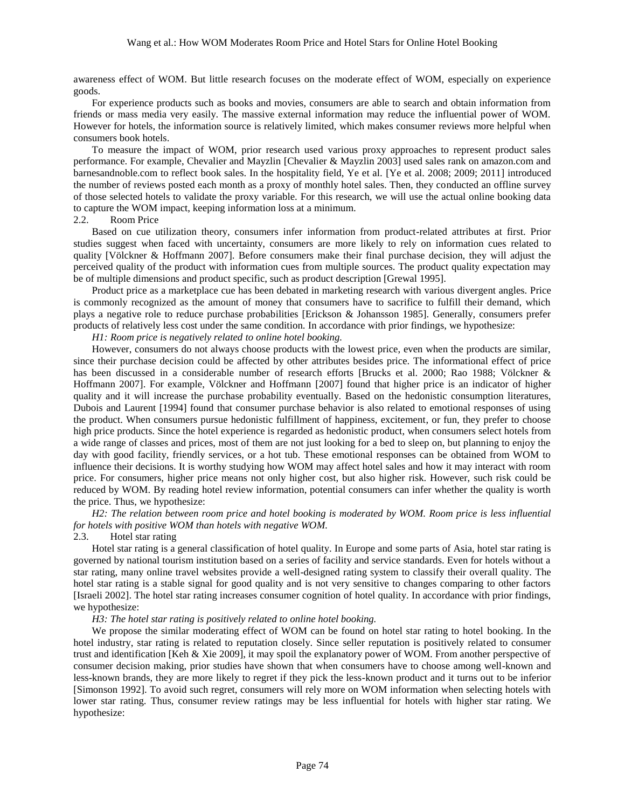awareness effect of WOM. But little research focuses on the moderate effect of WOM, especially on experience goods.

For experience products such as books and movies, consumers are able to search and obtain information from friends or mass media very easily. The massive external information may reduce the influential power of WOM. However for hotels, the information source is relatively limited, which makes consumer reviews more helpful when consumers book hotels.

To measure the impact of WOM, prior research used various proxy approaches to represent product sales performance. For example, Chevalier and Mayzlin [Chevalier & Mayzlin 2003] used sales rank on amazon.com and barnesandnoble.com to reflect book sales. In the hospitality field, Ye et al. [Ye et al. 2008; 2009; 2011] introduced the number of reviews posted each month as a proxy of monthly hotel sales. Then, they conducted an offline survey of those selected hotels to validate the proxy variable. For this research, we will use the actual online booking data to capture the WOM impact, keeping information loss at a minimum.

### 2.2. Room Price

Based on cue utilization theory, consumers infer information from product-related attributes at first. Prior studies suggest when faced with uncertainty, consumers are more likely to rely on information cues related to quality [Völckner & Hoffmann 2007]. Before consumers make their final purchase decision, they will adjust the perceived quality of the product with information cues from multiple sources. The product quality expectation may be of multiple dimensions and product specific, such as product description [Grewal 1995].

Product price as a marketplace cue has been debated in marketing research with various divergent angles. Price is commonly recognized as the amount of money that consumers have to sacrifice to fulfill their demand, which plays a negative role to reduce purchase probabilities [Erickson & Johansson 1985]. Generally, consumers prefer products of relatively less cost under the same condition. In accordance with prior findings, we hypothesize:

*H1: Room price is negatively related to online hotel booking.*

However, consumers do not always choose products with the lowest price, even when the products are similar, since their purchase decision could be affected by other attributes besides price. The informational effect of price has been discussed in a considerable number of research efforts [Brucks et al. 2000; Rao 1988; Völckner & Hoffmann 2007]. For example, Völckner and Hoffmann [2007] found that higher price is an indicator of higher quality and it will increase the purchase probability eventually. Based on the hedonistic consumption literatures, Dubois and Laurent [1994] found that consumer purchase behavior is also related to emotional responses of using the product. When consumers pursue hedonistic fulfillment of happiness, excitement, or fun, they prefer to choose high price products. Since the hotel experience is regarded as hedonistic product, when consumers select hotels from a wide range of classes and prices, most of them are not just looking for a bed to sleep on, but planning to enjoy the day with good facility, friendly services, or a hot tub. These emotional responses can be obtained from WOM to influence their decisions. It is worthy studying how WOM may affect hotel sales and how it may interact with room price. For consumers, higher price means not only higher cost, but also higher risk. However, such risk could be reduced by WOM. By reading hotel review information, potential consumers can infer whether the quality is worth the price. Thus, we hypothesize:

*H2: The relation between room price and hotel booking is moderated by WOM. Room price is less influential for hotels with positive WOM than hotels with negative WOM.*

### 2.3. Hotel star rating

Hotel star rating is a general classification of hotel quality. In Europe and some parts of Asia, hotel star rating is governed by national tourism institution based on a series of facility and service standards. Even for hotels without a star rating, many online travel websites provide a well-designed rating system to classify their overall quality. The hotel star rating is a stable signal for good quality and is not very sensitive to changes comparing to other factors [Israeli 2002]. The hotel star rating increases consumer cognition of hotel quality. In accordance with prior findings, we hypothesize:

### *H3: The hotel star rating is positively related to online hotel booking.*

We propose the similar moderating effect of WOM can be found on hotel star rating to hotel booking. In the hotel industry, star rating is related to reputation closely. Since seller reputation is positively related to consumer trust and identification [Keh & Xie 2009], it may spoil the explanatory power of WOM. From another perspective of consumer decision making, prior studies have shown that when consumers have to choose among well-known and less-known brands, they are more likely to regret if they pick the less-known product and it turns out to be inferior [Simonson 1992]. To avoid such regret, consumers will rely more on WOM information when selecting hotels with lower star rating. Thus, consumer review ratings may be less influential for hotels with higher star rating. We hypothesize: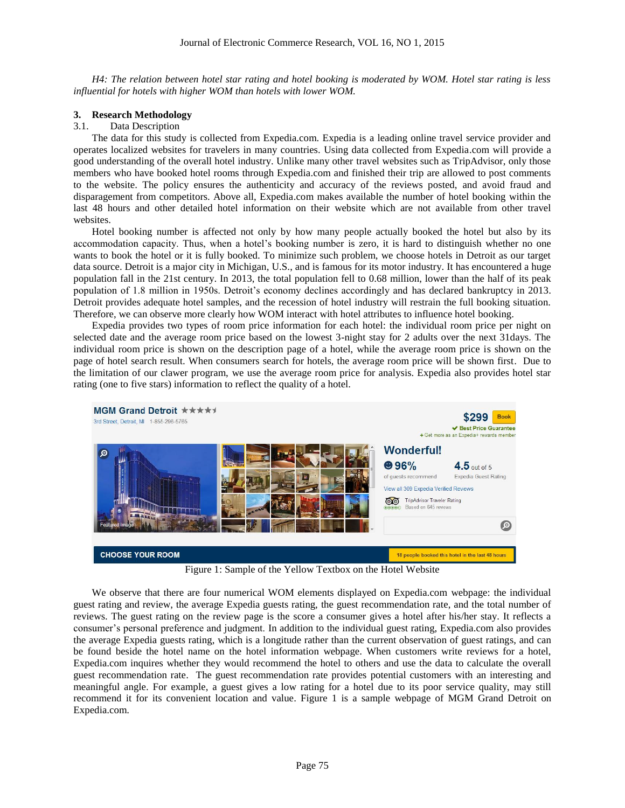*H4: The relation between hotel star rating and hotel booking is moderated by WOM. Hotel star rating is less influential for hotels with higher WOM than hotels with lower WOM.*

# **3. Research Methodology**

# 3.1. Data Description

The data for this study is collected from Expedia.com. Expedia is a leading online travel service provider and operates localized websites for travelers in many countries. Using data collected from Expedia.com will provide a good understanding of the overall hotel industry. Unlike many other travel websites such as TripAdvisor, only those members who have booked hotel rooms through Expedia.com and finished their trip are allowed to post comments to the website. The policy ensures the authenticity and accuracy of the reviews posted, and avoid fraud and disparagement from competitors. Above all, Expedia.com makes available the number of hotel booking within the last 48 hours and other detailed hotel information on their website which are not available from other travel websites.

Hotel booking number is affected not only by how many people actually booked the hotel but also by its accommodation capacity. Thus, when a hotel's booking number is zero, it is hard to distinguish whether no one wants to book the hotel or it is fully booked. To minimize such problem, we choose hotels in Detroit as our target data source. Detroit is a major city in Michigan, U.S., and is famous for its motor industry. It has encountered a huge population fall in the 21st century. In 2013, the total population fell to 0.68 million, lower than the half of its peak population of 1.8 million in 1950s. Detroit's economy declines accordingly and has declared bankruptcy in 2013. Detroit provides adequate hotel samples, and the recession of hotel industry will restrain the full booking situation. Therefore, we can observe more clearly how WOM interact with hotel attributes to influence hotel booking.

Expedia provides two types of room price information for each hotel: the individual room price per night on selected date and the average room price based on the lowest 3-night stay for 2 adults over the next 31days. The individual room price is shown on the description page of a hotel, while the average room price is shown on the page of hotel search result. When consumers search for hotels, the average room price will be shown first. Due to the limitation of our clawer program, we use the average room price for analysis. Expedia also provides hotel star rating (one to five stars) information to reflect the quality of a hotel.



Figure 1: Sample of the Yellow Textbox on the Hotel Website

We observe that there are four numerical WOM elements displayed on Expedia.com webpage: the individual guest rating and review, the average Expedia guests rating, the guest recommendation rate, and the total number of reviews. The guest rating on the review page is the score a consumer gives a hotel after his/her stay. It reflects a consumer's personal preference and judgment. In addition to the individual guest rating, Expedia.com also provides the average Expedia guests rating, which is a longitude rather than the current observation of guest ratings, and can be found beside the hotel name on the hotel information webpage. When customers write reviews for a hotel, Expedia.com inquires whether they would recommend the hotel to others and use the data to calculate the overall guest recommendation rate. The guest recommendation rate provides potential customers with an interesting and meaningful angle. For example, a guest gives a low rating for a hotel due to its poor service quality, may still recommend it for its convenient location and value. Figure 1 is a sample webpage of MGM Grand Detroit on Expedia.com.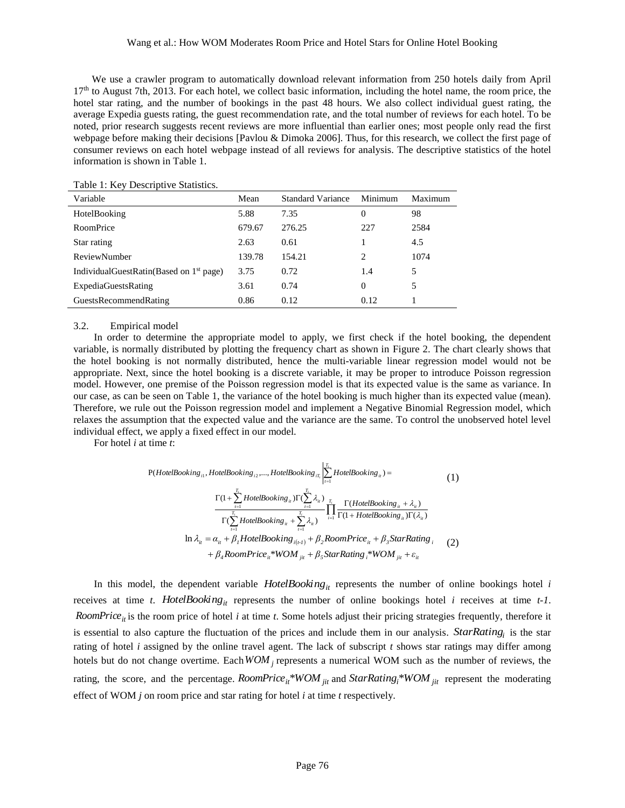### Wang et al.: How WOM Moderates Room Price and Hotel Stars for Online Hotel Booking

We use a crawler program to automatically download relevant information from 250 hotels daily from April  $17<sup>th</sup>$  to August 7th, 2013. For each hotel, we collect basic information, including the hotel name, the room price, the hotel star rating, and the number of bookings in the past 48 hours. We also collect individual guest rating, the average Expedia guests rating, the guest recommendation rate, and the total number of reviews for each hotel. To be noted, prior research suggests recent reviews are more influential than earlier ones; most people only read the first webpage before making their decisions [Pavlou & Dimoka 2006]. Thus, for this research, we collect the first page of consumer reviews on each hotel webpage instead of all reviews for analysis. The descriptive statistics of the hotel information is shown in Table 1.

| Variable                                     | Mean   | Standard Variance | Minimum  | Maximum |
|----------------------------------------------|--------|-------------------|----------|---------|
| HotelBooking                                 | 5.88   | 7.35              | 0        | 98      |
| RoomPrice                                    | 679.67 | 276.25            | 227      | 2584    |
| Star rating                                  | 2.63   | 0.61              |          | 4.5     |
| ReviewNumber                                 | 139.78 | 154.21            | 2        | 1074    |
| Individual Guest Ratin (Based on $1st$ page) | 3.75   | 0.72              | 1.4      | 5       |
| <b>ExpediaGuestsRating</b>                   | 3.61   | 0.74              | $\Omega$ | 5       |
| <b>GuestsRecommendRating</b>                 | 0.86   | 0.12              | 0.12     |         |

### Table 1: Key Descriptive Statistics.

### 3.2. Empirical model

In order to determine the appropriate model to apply, we first check if the hotel booking, the dependent variable, is normally distributed by plotting the frequency chart as shown in Figure 2. The chart clearly shows that the hotel booking is not normally distributed, hence the multi-variable linear regression model would not be appropriate. Next, since the hotel booking is a discrete variable, it may be proper to introduce Poisson regression model. However, one premise of the Poisson regression model is that its expected value is the same as variance. In our case, as can be seen on Table 1, the variance of the hotel booking is much higher than its expected value (mean). Therefore, we rule out the Poisson regression model and implement a Negative Binomial Regression model, which relaxes the assumption that the expected value and the variance are the same. To control the unobserved hotel level individual effect, we apply a fixed effect in our model.

For hotel *i* at time *t*:

$$
P(HoteIBooking_{i1}, HotelBooking_{i2},..., HotelBooking_{\pi_{i}}\Big| \sum_{t=1}^{T_{i}} HotelBooking_{\pi_{i}}) =
$$
\n
$$
\frac{\Gamma(1 + \sum_{t=1}^{T_{i}} HotelBooking_{\pi_{i}})\Gamma(\sum_{t=1}^{T_{i}} \lambda_{\pi_{i}})}{\Gamma(\sum_{t=1}^{T_{i}} HotelBooking_{\pi_{i}} + \sum_{t=1}^{T_{i}} \lambda_{\pi_{i}})} \prod_{i=1}^{T_{i}} \frac{\Gamma(HoteIBooking_{\pi_{i}} + \lambda_{\pi})}{\Gamma(1 + HotelBooking_{\pi_{i}})\Gamma(\lambda_{\pi})}
$$
\n
$$
\ln \lambda_{\pi_{i}} = \alpha_{\pi_{i}} + \beta_{i} HotelBooking_{\pi(i-1)} + \beta_{2} RoomPrice_{\pi_{i}} + \beta_{3} StarRating_{\pi_{i}} \tag{2}
$$
\n
$$
+ \beta_{4} RoomPrice_{\pi_{i}}*WOM_{\pi_{i}} + \beta_{5} StarRating_{\pi_{i}}*WOM_{\pi_{i}} + \varepsilon_{\pi_{i}}
$$

In this model, the dependent variable *HotelBooking*<sub>*it*</sub> represents the number of online bookings hotel *i* receives at time *t*. *HotelBooking*<sub>*it*</sub> represents the number of online bookings hotel *i* receives at time  $t-1$ . *RoomPrice<sub>it</sub>* is the room price of hotel *i* at time *t*. Some hotels adjust their pricing strategies frequently, therefore it is essential to also capture the fluctuation of the prices and include them in our analysis. *StarRating<sup>i</sup>* is the star rating of hotel *i* assigned by the online travel agent. The lack of subscript *t* shows star ratings may differ among hotels but do not change overtime. Each  $WOM_j$  represents a numerical WOM such as the number of reviews, the rating, the score, and the percentage.  $RoomPrice_{it} * WOM_{jit}$  and  $StarRating_i * WOM_{jit}$  represent the moderating effect of WOM *j* on room price and star rating for hotel *i* at time *t* respectively.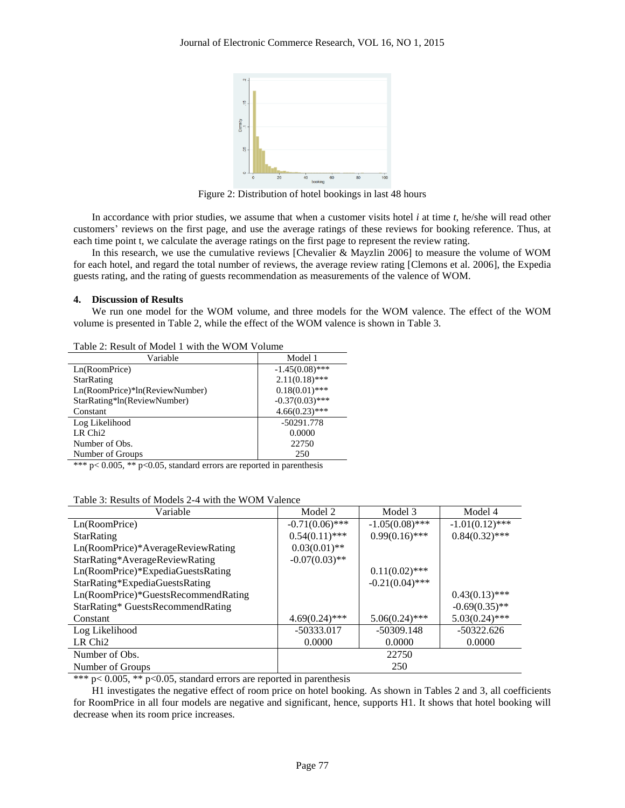

Figure 2: Distribution of hotel bookings in last 48 hours

In accordance with prior studies, we assume that when a customer visits hotel *i* at time *t*, he/she will read other customers' reviews on the first page, and use the average ratings of these reviews for booking reference. Thus, at each time point t, we calculate the average ratings on the first page to represent the review rating.

In this research, we use the cumulative reviews [Chevalier & Mayzlin 2006] to measure the volume of WOM for each hotel, and regard the total number of reviews, the average review rating [Clemons et al. 2006], the Expedia guests rating, and the rating of guests recommendation as measurements of the valence of WOM.

# **4. Discussion of Results**

We run one model for the WOM volume, and three models for the WOM valence. The effect of the WOM volume is presented in Table 2, while the effect of the WOM valence is shown in Table 3.

| $10000$ 2. INSTEAD OF MONAGE TO WHILE THE WORLD WAS LOTEN TO THE T |                   |  |  |  |
|--------------------------------------------------------------------|-------------------|--|--|--|
| Variable                                                           | Model 1           |  |  |  |
| Ln(RoomPrice)                                                      | $-1.45(0.08)$ *** |  |  |  |
| <b>StarRating</b>                                                  | $2.11(0.18)$ ***  |  |  |  |
| Ln(RoomPrice)*ln(ReviewNumber)                                     | $0.18(0.01)$ ***  |  |  |  |
| StarRating*ln(ReviewNumber)                                        | $-0.37(0.03)$ *** |  |  |  |
| Constant                                                           | $4.66(0.23)$ ***  |  |  |  |
| Log Likelihood                                                     | $-50291.778$      |  |  |  |
| LR Chi <sub>2</sub>                                                | 0.0000            |  |  |  |
| Number of Obs.                                                     | 22750             |  |  |  |
| Number of Groups                                                   | 250               |  |  |  |
|                                                                    |                   |  |  |  |

Table 2: Result of Model 1 with the WOM Volume

\*\*\*  $p < 0.005$ , \*\*  $p < 0.05$ , standard errors are reported in parenthesis

| Variable                            | Model 2           | Model 3           | Model 4           |  |  |
|-------------------------------------|-------------------|-------------------|-------------------|--|--|
| Ln(RoomPrice)                       | $-0.71(0.06)$ *** | $-1.05(0.08)$ *** | $-1.01(0.12)$ *** |  |  |
| <b>StarRating</b>                   | $0.54(0.11)$ ***  | $0.99(0.16)$ ***  | $0.84(0.32)$ ***  |  |  |
| Ln(RoomPrice)*AverageReviewRating   | $0.03(0.01)$ **   |                   |                   |  |  |
| StarRating*AverageReviewRating      | $-0.07(0.03)$ **  |                   |                   |  |  |
| Ln(RoomPrice)*ExpediaGuestsRating   |                   | $0.11(0.02)$ ***  |                   |  |  |
| StarRating*ExpediaGuestsRating      |                   | $-0.21(0.04)$ *** |                   |  |  |
| Ln(RoomPrice)*GuestsRecommendRating |                   |                   | $0.43(0.13)$ ***  |  |  |
| StarRating* GuestsRecommendRating   |                   |                   | $-0.69(0.35)$ **  |  |  |
| Constant                            | $4.69(0.24)$ ***  | $5.06(0.24)$ ***  | $5.03(0.24)$ ***  |  |  |
| Log Likelihood                      | $-50333.017$      | $-50309.148$      | $-50322.626$      |  |  |
| LR Chi2                             | 0.0000            | 0.0000            | 0.0000            |  |  |
| Number of Obs.                      |                   | 22750             |                   |  |  |
| Number of Groups                    | 250               |                   |                   |  |  |

\*\*\*  $p < 0.005$ , \*\*  $p < 0.05$ , standard errors are reported in parenthesis

H1 investigates the negative effect of room price on hotel booking. As shown in Tables 2 and 3, all coefficients for RoomPrice in all four models are negative and significant, hence, supports H1. It shows that hotel booking will decrease when its room price increases.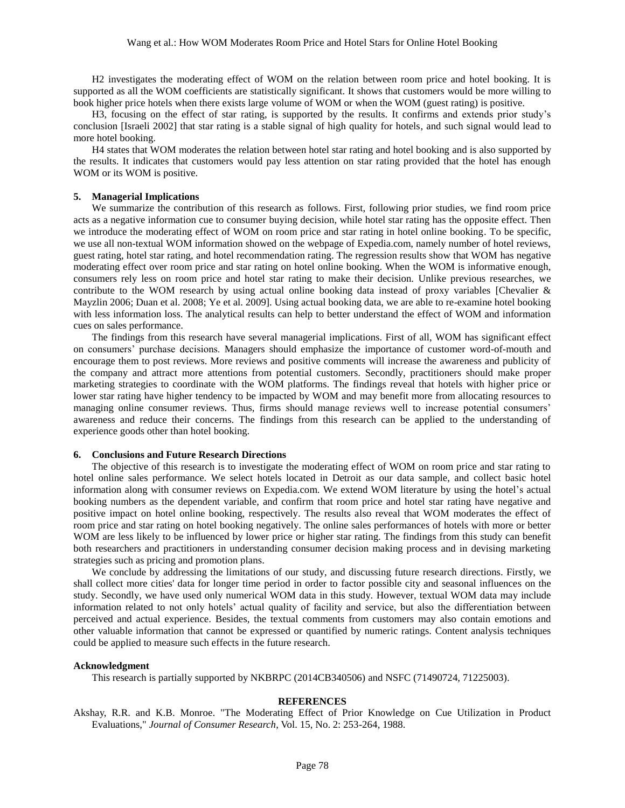H2 investigates the moderating effect of WOM on the relation between room price and hotel booking. It is supported as all the WOM coefficients are statistically significant. It shows that customers would be more willing to book higher price hotels when there exists large volume of WOM or when the WOM (guest rating) is positive.

H3, focusing on the effect of star rating, is supported by the results. It confirms and extends prior study's conclusion [Israeli 2002] that star rating is a stable signal of high quality for hotels, and such signal would lead to more hotel booking.

H4 states that WOM moderates the relation between hotel star rating and hotel booking and is also supported by the results. It indicates that customers would pay less attention on star rating provided that the hotel has enough WOM or its WOM is positive.

# **5. Managerial Implications**

We summarize the contribution of this research as follows. First, following prior studies, we find room price acts as a negative information cue to consumer buying decision, while hotel star rating has the opposite effect. Then we introduce the moderating effect of WOM on room price and star rating in hotel online booking. To be specific, we use all non-textual WOM information showed on the webpage of Expedia.com, namely number of hotel reviews, guest rating, hotel star rating, and hotel recommendation rating. The regression results show that WOM has negative moderating effect over room price and star rating on hotel online booking. When the WOM is informative enough, consumers rely less on room price and hotel star rating to make their decision. Unlike previous researches, we contribute to the WOM research by using actual online booking data instead of proxy variables [Chevalier  $\&$ Mayzlin 2006; Duan et al. 2008; Ye et al. 2009]. Using actual booking data, we are able to re-examine hotel booking with less information loss. The analytical results can help to better understand the effect of WOM and information cues on sales performance.

The findings from this research have several managerial implications. First of all, WOM has significant effect on consumers' purchase decisions. Managers should emphasize the importance of customer word-of-mouth and encourage them to post reviews. More reviews and positive comments will increase the awareness and publicity of the company and attract more attentions from potential customers. Secondly, practitioners should make proper marketing strategies to coordinate with the WOM platforms. The findings reveal that hotels with higher price or lower star rating have higher tendency to be impacted by WOM and may benefit more from allocating resources to managing online consumer reviews. Thus, firms should manage reviews well to increase potential consumers' awareness and reduce their concerns. The findings from this research can be applied to the understanding of experience goods other than hotel booking.

### **6. Conclusions and Future Research Directions**

The objective of this research is to investigate the moderating effect of WOM on room price and star rating to hotel online sales performance. We select hotels located in Detroit as our data sample, and collect basic hotel information along with consumer reviews on Expedia.com. We extend WOM literature by using the hotel's actual booking numbers as the dependent variable, and confirm that room price and hotel star rating have negative and positive impact on hotel online booking, respectively. The results also reveal that WOM moderates the effect of room price and star rating on hotel booking negatively. The online sales performances of hotels with more or better WOM are less likely to be influenced by lower price or higher star rating. The findings from this study can benefit both researchers and practitioners in understanding consumer decision making process and in devising marketing strategies such as pricing and promotion plans.

We conclude by addressing the limitations of our study, and discussing future research directions. Firstly, we shall collect more cities' data for longer time period in order to factor possible city and seasonal influences on the study. Secondly, we have used only numerical WOM data in this study. However, textual WOM data may include information related to not only hotels' actual quality of facility and service, but also the differentiation between perceived and actual experience. Besides, the textual comments from customers may also contain emotions and other valuable information that cannot be expressed or quantified by numeric ratings. Content analysis techniques could be applied to measure such effects in the future research.

### **Acknowledgment**

This research is partially supported by NKBRPC (2014CB340506) and NSFC (71490724, 71225003).

## **REFERENCES**

Akshay, R.R. and K.B. Monroe. "The Moderating Effect of Prior Knowledge on Cue Utilization in Product Evaluations," *Journal of Consumer Research*, Vol. 15, No. 2: 253-264, 1988.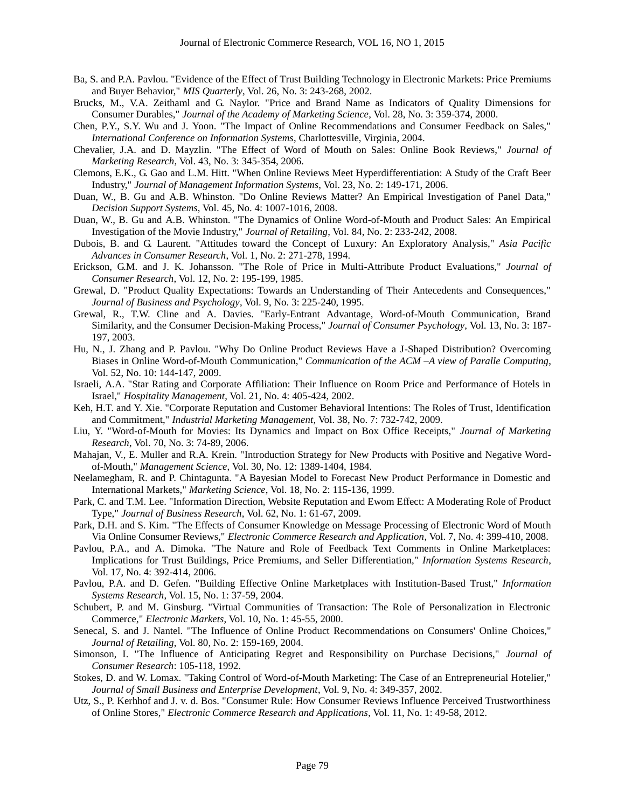- Ba, S. and P.A. Pavlou. "Evidence of the Effect of Trust Building Technology in Electronic Markets: Price Premiums and Buyer Behavior," *MIS Quarterly*, Vol. 26, No. 3: 243-268, 2002.
- Brucks, M., V.A. Zeithaml and G. Naylor. "Price and Brand Name as Indicators of Quality Dimensions for Consumer Durables," *Journal of the Academy of Marketing Science*, Vol. 28, No. 3: 359-374, 2000.
- Chen, P.Y., S.Y. Wu and J. Yoon. "The Impact of Online Recommendations and Consumer Feedback on Sales," *International Conference on Information Systems*, Charlottesville, Virginia, 2004.
- Chevalier, J.A. and D. Mayzlin. "The Effect of Word of Mouth on Sales: Online Book Reviews," *Journal of Marketing Research*, Vol. 43, No. 3: 345-354, 2006.
- Clemons, E.K., G. Gao and L.M. Hitt. "When Online Reviews Meet Hyperdifferentiation: A Study of the Craft Beer Industry," *Journal of Management Information Systems*, Vol. 23, No. 2: 149-171, 2006.
- Duan, W., B. Gu and A.B. Whinston. "Do Online Reviews Matter? An Empirical Investigation of Panel Data," *Decision Support Systems*, Vol. 45, No. 4: 1007-1016, 2008.
- Duan, W., B. Gu and A.B. Whinston. "The Dynamics of Online Word-of-Mouth and Product Sales: An Empirical Investigation of the Movie Industry," *Journal of Retailing*, Vol. 84, No. 2: 233-242, 2008.
- Dubois, B. and G. Laurent. "Attitudes toward the Concept of Luxury: An Exploratory Analysis," *Asia Pacific Advances in Consumer Research*, Vol. 1, No. 2: 271-278, 1994.
- Erickson, G.M. and J. K. Johansson. "The Role of Price in Multi-Attribute Product Evaluations," *Journal of Consumer Research*, Vol. 12, No. 2: 195-199, 1985.
- Grewal, D. "Product Quality Expectations: Towards an Understanding of Their Antecedents and Consequences," *Journal of Business and Psychology*, Vol. 9, No. 3: 225-240, 1995.
- Grewal, R., T.W. Cline and A. Davies. "Early-Entrant Advantage, Word-of-Mouth Communication, Brand Similarity, and the Consumer Decision-Making Process," *Journal of Consumer Psychology*, Vol. 13, No. 3: 187- 197, 2003.
- Hu, N., J. Zhang and P. Pavlou. "Why Do Online Product Reviews Have a J-Shaped Distribution? Overcoming Biases in Online Word-of-Mouth Communication," *Communication of the ACM –A view of Paralle Computing*, Vol. 52, No. 10: 144-147, 2009.
- Israeli, A.A. "Star Rating and Corporate Affiliation: Their Influence on Room Price and Performance of Hotels in Israel," *Hospitality Management*, Vol. 21, No. 4: 405-424, 2002.
- Keh, H.T. and Y. Xie. "Corporate Reputation and Customer Behavioral Intentions: The Roles of Trust, Identification and Commitment," *Industrial Marketing Management*, Vol. 38, No. 7: 732-742, 2009.
- Liu, Y. "Word-of-Mouth for Movies: Its Dynamics and Impact on Box Office Receipts," *Journal of Marketing Research*, Vol. 70, No. 3: 74-89, 2006.
- Mahajan, V., E. Muller and R.A. Krein. "Introduction Strategy for New Products with Positive and Negative Wordof-Mouth," *Management Science*, Vol. 30, No. 12: 1389-1404, 1984.
- Neelamegham, R. and P. Chintagunta. "A Bayesian Model to Forecast New Product Performance in Domestic and International Markets," *Marketing Science*, Vol. 18, No. 2: 115-136, 1999.
- Park, C. and T.M. Lee. "Information Direction, Website Reputation and Ewom Effect: A Moderating Role of Product Type," *Journal of Business Research*, Vol. 62, No. 1: 61-67, 2009.
- Park, D.H. and S. Kim. "The Effects of Consumer Knowledge on Message Processing of Electronic Word of Mouth Via Online Consumer Reviews," *Electronic Commerce Research and Application*, Vol. 7, No. 4: 399-410, 2008.
- Pavlou, P.A., and A. Dimoka. "The Nature and Role of Feedback Text Comments in Online Marketplaces: Implications for Trust Buildings, Price Premiums, and Seller Differentiation," *Information Systems Research*, Vol. 17, No. 4: 392-414, 2006.
- Pavlou, P.A. and D. Gefen. "Building Effective Online Marketplaces with Institution-Based Trust," *Information Systems Research*, Vol. 15, No. 1: 37-59, 2004.
- Schubert, P. and M. Ginsburg. "Virtual Communities of Transaction: The Role of Personalization in Electronic Commerce," *Electronic Markets*, Vol. 10, No. 1: 45-55, 2000.
- Senecal, S. and J. Nantel. "The Influence of Online Product Recommendations on Consumers' Online Choices," *Journal of Retailing*, Vol. 80, No. 2: 159-169, 2004.
- Simonson, I. "The Influence of Anticipating Regret and Responsibility on Purchase Decisions," *Journal of Consumer Research*: 105-118, 1992.
- Stokes, D. and W. Lomax. "Taking Control of Word-of-Mouth Marketing: The Case of an Entrepreneurial Hotelier," *Journal of Small Business and Enterprise Development*, Vol. 9, No. 4: 349-357, 2002.
- Utz, S., P. Kerhhof and J. v. d. Bos. "Consumer Rule: How Consumer Reviews Influence Perceived Trustworthiness of Online Stores," *Electronic Commerce Research and Applications*, Vol. 11, No. 1: 49-58, 2012.